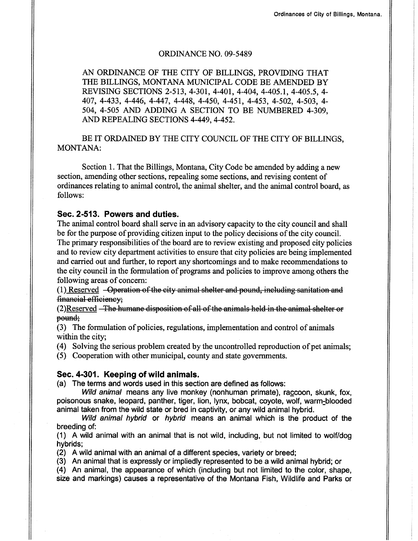### ORDINANCE NO. 09-5489

AN ORDINANCE OF THE CITY OF BILLINGS, PROVIDING THAT THE BILLINGS, MONTANA MUNICIPAL CODE BE AMENDED BY REVISING SECTIONS 2-513, 4-30t, 4-401, 4-404, 4-405.t, 4-405.5, 4- 407, 4-433, 4-446, 4-447, 4-449, 4-450, 4-451, 4-453, 4-502, 4-503, 4- 504, 4-505 AND ADDING A SECTION TO BE NUMBERED 4.309, AND REPEALING SECTIONS 4-449. 4-452.

BE IT ORDAINED BY THE CITY COUNCIL OF THE CITY OF BILLINGS. MONTANA:

Section 1. That the Billings, Montana, City Code be amended by adding a new section, amending other sections, repealing some sections, and revising content of ordinances relating to animal control, the animal shelter, and the animal control board, as follows:

# Sec.2-513. Powers and duties.

The animal control board shall serve in an advisory capacity to the city council and shall be for the purpose of providing citizen input to the policy decisions of the city council. The primary responsibilities of the board are to review existing and proposed city policies and to review city department activities to ensure that city policies are being implemented and carried out and further, to report any shortcomings and to make recommendations to the city council in the formulation of programs and policies to improve among others the following areas of concern:

 $(1)$  Reserved  $-$ Operation of the city animal shelter and pound, including sanitation and financial efficiency;

 $(2)$ Reserved  $-$ The humane disposition of all of the animals held in the animal shelter or pound:

(3) The formulation of policies, regulations, implementation and control of animals within the city;

(4) Solving the serious problem created by the uncontrolled reproduction of pet animals;

(5) Cooperation with other municipal, county and state govemments.

### Sec. 4-301. Keeping of wild animals.

(a) The terms and words used in this section are defined as follows:

Wild animal means any live monkey (nonhuman primate), raccoon, skunk, fox, poisonous snake, leopard, panther, tiger, lion, lynx, bobcat, coyote, wolf, warm-blooded animal taken from the wild state or bred in captivity, or any wild animal hybrid.

Wild animal hybrid or hybrid means an animal which is the product of the breeding of:

(1) A wild animal with an animal that is not wild, including, but not limited to wolf/dog hybrids;

(2) A wild animal with an animal of a different species, variety or breed;

(3) An animal that is expressly or impliedly represented to be a wild animal hybrid; or

(4) An animal, the appearance of which (including but not limited to the color, shape, size and markings) causes a representative of the Montana Fish, Wildlife and Parks or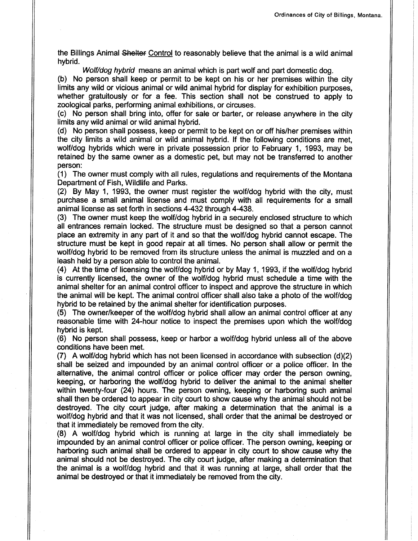the Billings Animal Shelter Control to reasonably believe that the animal is a wild animal hybrid.

Wolf/dog hybrid means an animal which is part wolf and part domestic dog.

(b) No person shall keep or permit to be kept on his or her premises within the city limits any wild or vicious animal or wild animal hybrid for display for exhibition purposes, whether gratuitously or for a fee. This section shall not be construed to apply to zoological parks, performing animal exhibitions, or circuses.

(c) No person shall bring into, offer for sale or barter, or release anywhere in the city limits any wild animal or wild animal hybrid.

(d) No person shall possess, keep or permit to be kept on or off his/her premises within the city limits a wild animal or wild animal hybrid. lf the following conditions are met, wolf/dog hybrids which were in private possession prior to February 1, 1993, may be retained by the same owner as a domestic pet, but may not be transferred to another person:

(1) The owner must comply with all rules, regulations and requirements of the Montana Department of Fish, Wildlife and Parks.

(2) By May 1, 1993, the owner must register the wolf/dog hybrid with the city, must purchase a small animal license and must comply with all requirements for a small animal license as set forth in sections 4-432 through 4-438.

(3) The owner must keep the wolf/dog hybrid in a securely enclosed structure to which all entrances remain locked. The structure must be designed so that a person cannot place an extremity in any part of it and so that the wolf/dog hybrid cannot escape. The structure must be kept in good repair at all times. No person shall allow or permit the wolf/dog hybrid to be removed from its structure unless the animal is muzzled and on a leash held by a person able to control the animal.

(4) At the time of licensing the wolf/dog hybrid or by May 1, 1993, if the wolf/dog hybrid is currently licensed, the owner of the wolf/dog hybrid must schedule a time with the animal shelter for an animal control officer to inspect and approve the structure in which the animal will be kept. The animal control officer shall also take a photo of the wolf/dog hybrid to be retained by the animal shelter for identification purposes.

(5) The owner/keeper of the wolf/dog hybrid shall allow an animal control officer at any reasonable time with 24-hour notice to inspect the premises upon which the wolf/dog hybrid is kept.

(6) No person shall possess, keep or harbor a wolf/dog hybrid unless all of the above conditions have been met.

(7) A wolf/dog hybrid which has not been licensed in accordance with subsection  $(d)(2)$ shall be seized and impounded by an animal control officer or a police officer. In the alternative, the animal control officer or police officer may order the person owning, keeping, or harboring the wolf/dog hybrid to deliver the animal to the animal shelter within twenty-four (24) hours. The person owning, keeping or harboring such animal shall then be ordered to appear in city court to show cause why the animal should not be destroyed. The city court judge, after making a determination that the animal is <sup>a</sup> wolf/dog hybrid and that it was not licensed, shall order that the animal be destroyed or that it immediately be removed from the city.

(8) A wolf/dog hybrid which is running at large in the city shall immediately be impounded by an animal control officer or police officer. The person owning, keeping or harboring such animal shall be ordered to appear in city court to show cause why the animal should not be destroyed. The city court judge, after making a determination that the animal is a wolf/dog hybrid and that it was running at large, shall order that the animal be destroyed or that it immediately be removed from the city.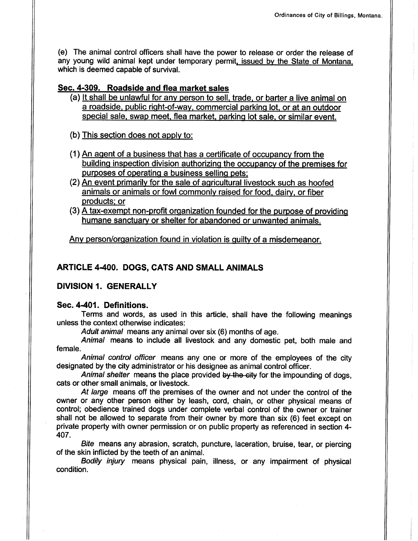(e) The animal control officers shall have the power to release or order the release of any young wild animal kept under temporary permit, issued by the State of Montana, which is deemed capable of survival.

# Sec. 4-309. Roadside and flea market sales

(a) It shall be unlawful for any person to sell, trade, or barter a live animal on a roadside. public riqht-of-wav. commercial parkinq lot. or at an outdoor special sale, swap meet, flea market, parking lot sale, or similar event.

(b) This section does not applv to:

- (1) An aqent of a business that has a certificate of occupancv from the building inspection division authorizing the occupancy of the premises for purposes of operatinq a business selling pets:
- (2) An event primarily for the sale of agricultural livestock such as hoofed animals or animals or fowl commonlv raised for food. dairv. or fiber products: or
- $(3)$  A tax-exempt non-profit organization founded for the purpose of providing humane sanctuary or shelter for abandoned or unwanted animals.

Any person/organization found in violation is quilty of a misdemeanor.

# ARTICLE 4400. DOGS, CATS AND SMALL ANIMALS

DIVISION I. GENERALLY

# Sec. 4401. Definitions.

Terms and words, as used in this article, shall have the following meanings unless the context otherwise indicates:

Adult animal means any animal over six (6) months of age.

Animal means to include all livestock and any domestic pet, both male and female.

Animal control officer means any one or more of the employees of the city designated by the city administrator or his designee as animal control officer.

Animal shelter means the place provided by the city for the impounding of dogs, cats or other small animals, or livestock.

At large means off the premises of the owner and not under the control of the owner or any other person either by leash, cord, chain, or other physical means of control; obedience trained dogs under complete verbal control of the owner or trainer shall not be allowed to separate from their owner by more than six (6) feet except on private property with owner permission or on public property as referenced in section 4- 407.

Bite means any abrasion, scratch, puncture, laceration, bruise, tear, or piercing of the skin inflicted by the teeth of an animal.

Bodily injury means physical pain, illness, or any impairment of physical condition.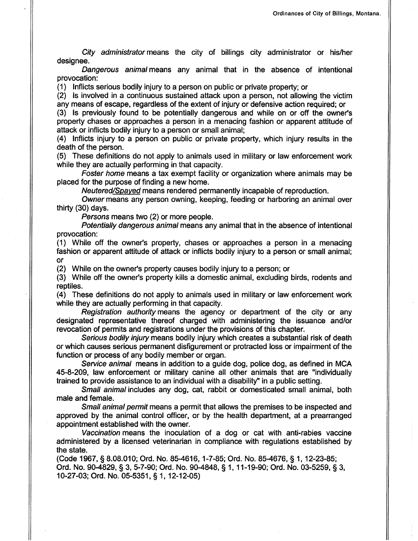City administrator means the city of billings city administrator or his/her designee.

Dangerous animal means any animal that in the absence of intentional provocation:

(1) Inflicts serious bodily injury to a person on public or private property; or

(2) ls involved in a continuous sustained attack upon a person, not allowing the victim any means of escape, regardless of the extent of injury or defensive action required; or

(3) ls previously found to be potentially dangerous and while on or off the owner's property chases or approaches a person in a menacing fashion or apparent attitude of attack or inflicts bodily injury to a person or small animal;

(4) Inflicts injury to a person on public or private property, which injury results in the death of the person.

(5) These definitions do not apply to animals used in military or law enforcement work while they are actually performing in that capacity.

Foster home means a tax exempt facility or organization where animals may be placed for the purpose of finding a new home.

Neutered/Spayed means rendered permanently incapable of reproduction.

Owner means any person owning, keeping, feeding or harboring an animal over thirty (30) days.

Persons means two (2) or more people.

Potentially dangerous animal means any animal that in the absence of intentional provocation:

(1) While off the owner's property, chases or approaches a person in a menacing fashion or apparent attitude of attack or inflicts bodily injury to a person or small animal; or

(2) While on the owner's property causes bodily injury to a person; or

(3) While off the owner's property kills a domestic animal, excluding birds, rodents and reptiles.

(4) These definitions do not apply to animals used in military or law enforcement work while they are actually performing in that capacity.

Registration authority means the agency or department of the city or any designated representative thereof charged with administering the issuance and/or revocation of permits and registrations under the provisions of this chapter.

Serious bodily injury means bodily injury which creates a substantial risk of death or which causes serious permanent disfigurement or protracted loss or impairment of the function or process of any bodily member or organ.

Service animal means in addition to a guide dog, police dog, as defined in MCA 45-8-209, law enforcement or military canine all other animals that are "individually trained to provide assistance to an individual with a disability" in a public setting.

Small animal includes any dog, cat, rabbit or domesticated small animal, both male and female.

Small animal permit means a permit that allows the premises to be inspected and approved by the animal control officer, or by the health department, at a prearranged appointment established with the owner.

Vaccination means the inoculation of a dog or cat with anti-rabies vaccine administered by a licensed veterinarian in compliance with regulations established by the state.

(Code 1967, § 8.08.010; Ord. No. 85-4616, 1-7-85; Ord. No. 85-4676, § 1, 12-23-85; Ord. No. 90-4829, S 3, 5-7-90; Ord. No. 904848, S 1, 1 1-19-90; Ord. No. 03-5259, S 3, 10-27-03; Ord. No.05-5351, S 1,12-12-05)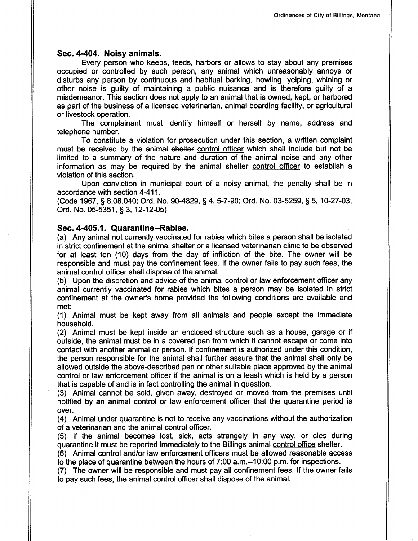### Sec. 4-404. Noisy animals.

Every person who keeps, feeds, harbors or allows to stay about any premises occupied or controlled by such person, any animal which unreasonably annoys or disturbs any person by continuous and habitual barking, howling, yelping, whining or other noise is guilty of maintaining a public nuisance and is therefore guilty of <sup>a</sup> misdemeanor. This section does not apply to an animal that is owned, kept, or harbored as part of the business of a licensed veterinarian, animal boarding facility, or agricultural or livestock operation.

The complainant must identify himself or herself by name, address and telephone number.

To constitute a violation for prosecution under this section, a written complaint must be received by the animal shelter control officer which shall include but not be limited to a summary of the nature and duration of the animal noise and any other information as may be required by the animal shelter control officer to establish a violation of this section.

Upon conviction in municipal court of a noisy animal, the penalty shall be in accordance with section 4411.

(Code 1967, S 8.08.040; Ord. No. 904829, S 4, 5-7-90; Ord. No. 03-5259, \$ 5, 10-27-03; Ord. No. 05-5351, S 3, 12-12-05)

### Sec. 4.405.1. Quarantine-Rabies.

(a) Any animal not currently vaccinated for rabies which bites a person shall be isolated in strict confinement at the animal shelter or a licensed veterinarian clinic to be observed for at least ten (10) days from the day of infliction of the bite. The owner will be responsible and must pay the confinement fees. lf the owner fails to pay such fees, the animal control officer shall dispose of the animal.

(b) Upon the discretion and advice of the animal control or law enforcement officer any animal currently vaccinated for rabies which bites a person may be isolated in strict confinement at the owner's home provided the following conditions are available and met:

(1) Animal must be kept away from all animals and people except the immediate household.

(2) Animal must be kept inside an enclosed structure such as a house, garage or if outside, the animal must be in a covered pen from which it cannot escape or come into contact with another animal or person. lf confinement is authorized under this condition, the person responsible for the animal shall further assure that the animal shall only be allowed outside the above-described pen or other suitable place approved by the animal control or law enforcement officer if the animal is on a leash which is held by a person that is capable of and is in fact controlling the animal in question.

(3) Animal cannot be sold, given away, destroyed or moved from the premises until notified by an animal control or law enforcement officer that the quarantine period is over.

(4) Animal under quarantine is not to receive any vaccinations without the authorization of a veterinarian and the animal control officer.

(5) lf the animal becomes lost, sick, acts strangely in any way, or dies during quarantine it must be reported immediately to the Billings animal control office shelter.

(6) Animal control and/or law enforcement officers must be allowed reasonable access to the place of quarantine between the hours of 7:00 a.m.-10:00 p.m. for inspections.

(7) The owner will be responsible and must pay all confinement fees. lf the owner fails to pay such fees, the animal control officer shall dispose of the animal.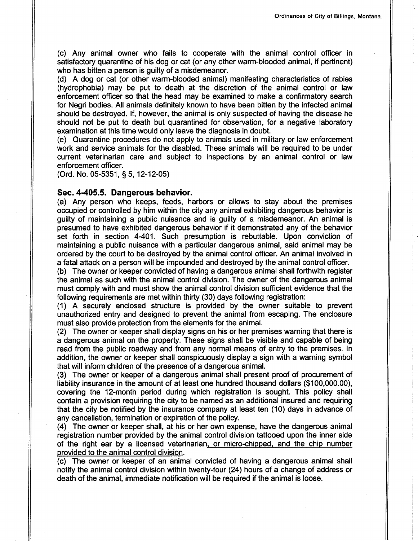(c) Any animal owner who fails to cooperate with the animal control officer in satisfactory quarantine of his dog or cat (or any other warm-blooded animal, if pertinent) who has bitten a person is guilty of a misdemeanor.

(d) A dog or cat (or other warm-blooded animal) manifesting characteristics of rabies (hydrophobia) may be put to death at the discretion of the animal control or law enforcement officer so that the head may be examined to make a confirmatory search for Negri bodies. All animals definitely known to have been bitten by the infected animal should be destroyed. lf, however, the animal is only suspected of having the disease he should not be put to death but quarantined for observation, for a negative laboratory examination at this time would only leave the diagnosis in doubt.

(e) Quarantine procedures do not apply to animals used in military or law enforcement work and service animals for the disabled. These animals will be required to be under current veterinarian care and subject to inspections by an animal control or law enforcement officer.

(Ord. No. 05-5351, S 5, 12-12-05)

### Sec. 4-405.5. Dangerous behavior.

(a) Any person who keeps, feeds, harbors or allows to stay about the premises occupied or controlled by him within the city any animal exhibiting dangerous behavior is guilty of maintaining a public nuisance and is guilty of a misdemeanor. An animal is presumed to have exhibited dangerous behavior if it demonstrated any of the behavior set forth in section 4401. Such presumption is rebuttable. Upon conviction of maintaining a public nuisance with a particular dangerous animal, said animal may be ordered by the court to be destroyed by the animal control officer. An animal involved in a fatal attack on a person will be impounded and destroyed by the animal control officer.

(b) The owner or keeper convicted of having a dangerous animal shall forthwith register the animal as such with the animal control division. The owner of the dangerous animal must comply with and must show the animal control division sufficient evidence that the following requirements are met within thirty (30) days following registration:

(1) A securely enclosed structure is provided by the owner suitable to prevent unauthorized entry and designed to prevent the animal from escaping. The enclosure must also provide protection from the elements for the animal.

(2) The owner or keeper shall display signs on his or her premises warning that there is a dangerous animal on the property. These signs shall be visible and capable of being read from the public roadway and from any normal means of entry to the premises. In addition, the owner or keeper shall conspicuously display a sign with a warning symbol that will inform children of the presence of a dangerous animal.

(3) The owner or keeper of a dangerous animal shall present proof of procurement of liability insurance in the amount of at least one hundred thousand dollars (\$100,000.00), covering the 12-month period during which registration is sought. This policy shall contain a provision requiring the city to be named as an additional insured and requiring that the city be notified by the insurance company at least ten (10) days in advance of any cancellation, termination or expiration of the policy.

(4) The owner or keeper shall, at his or her own expense, have the dangerous animal registration number provided by the animal control division tattooed upon the inner side of the right ear by a licensed veterinarian, or micro-chipped, and the chip number provided to the animal control division.

(c) The owner or keeper of an animal convicted of having a dangerous animal shall notify the animal control division within twenty-four (24) hours of a change of address or death of the animal, immediate notification will be required if the animal is loose.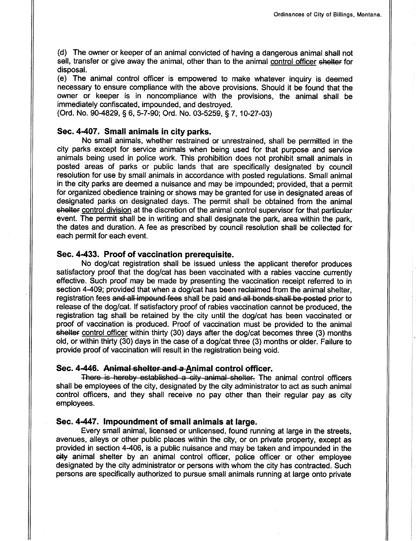(d) The owner or keeper of an animal convicted of having a dangerous animal shall not sell, transfer or give away the animal, other than to the animal control officer shelter for disposal.

(e) The animal control officer is empowered to make whatever inquiry is deemed necessary to ensure compliance with the above provisions. Should it be found that the owner or keeper is in noncompliance with the provisions, the animal shall be immediately confiscated, impounded, and destroyed.

(Ord. No. 90-4829, S 6, 5-7-90; Ord. No. 03-5259, S 7, 10-27-03)

# Sec. 4407. Small animals in city parks.

No small animals, whether restrained or unrestrained, shall be permitted in the city parks except for service animals when being used for that purpose and service animals being used in police work. This prohibition does not prohibit small animals in posted areas of parks or public lands that are specifically designated by council resolution for use by small animals in accordance with posted regulations. Small animal in the city parks are deemed a nuisance and may be impounded; provided, that a permit for organized obedience training or shows may be granted for use in designated areas of designated parks on designated days. The permit shall be obtained from the animal shelter control division at the discretion of the animal control supervisor for that particular event. The permit shall be in writing and shall designate the park, area within the park, the dates and duration. A fee as prescribed by council resolution shall be collected for each permit for each event.

#### Sec. 4-433. Proof of vaccination prerequisite.

No dog/cat registration shall be issued unless the applicant therefor produces satisfactory proof that the dog/cat has been vaccinated with a rabies vaccine currently effective. Such proof may be made by presenting the vaccination receipt refered to in section 4-409; provided that when a dog/cat has been reclaimed from the animal shelter, registration fees and all impound fees shall be paid and all bonds shall be posted prior to release of the dog/cat. lf satisfactory proof of rabies vaccination cannot be produced, the registration tag shall be retained by the city until the dog/cat has been vaccinated or proof of vaccination is produced. Proof of vaccination must be provided to the animal shelter control officer within thirty (30) days after the dog/cat becomes three (3) months old, or within thirty (30) days in the case of a dog/cat three (3) months or older. Failure to provide proof of vaccination will result in the registration being void.

#### Sec. 4-446. Animal shelter and a Animal control officer.

There is hereby established a city animal shelter. The animal control officers shall be employees of the city, designated by the city administrator to act as such animal control officers, and they shall receive no pay other than their regular pay as city employees.

### Sec. 4-447. Impoundment of small animals at large.

Every small animal, licensed or unlicensed, found running at large in the streets, avenues, alleys or other public places within the city, or on private property, except as provided in section 4406, is a public nuisance and may be taken and impounded in the eity animal shelter by an animal control officer, police officer or other employee designated by the city administrator or persons with whom the city has contracted. Such persons are specifically authorized to pursue small animals running at large onto private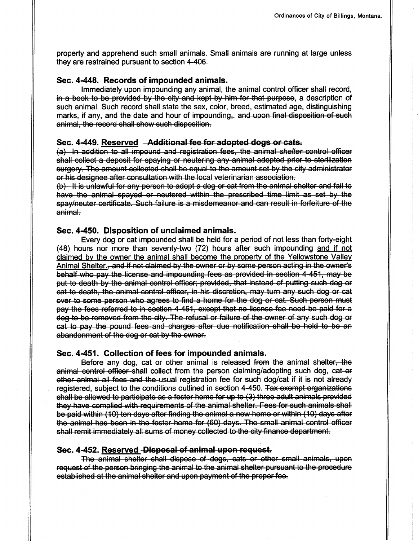property and apprehend such small animals. Small animals are running at large unless they are restrained pursuant to section 4-406.

### Sec. 4-448. Records of impounded animals.

lmmediately upon impounding any animal, the animal control officer shall record, in a book to be provided by the city and kept by him for that purpose, a description of such animal. Such record shall state the sex, color, breed, estimated age, distinguishing marks, if any, and the date and hour of impounding, and upon final disposition of such animal, the record shall show such disposition.

### Sec. 4-449. Reserved --Additional fee for adopted dogs or cats.

(a) In addition to all impound and registration fees, the animal shelter control officer shall collect a deposit for spaying or neutering any animal adopted prior to sterilization surgery. The amount collected shall be equal to the amount set by the city administrator er his designee after eensultatien with the leeal veterinarian asseeiatien,

(b) It is unlawful for any person to adopt a dog or cat from the animal shelter and fail to have the have the<br>have the animal spayed or neutered within the prescribed time limit as set by the spay/neuter certificate. Such failure is a misdemeanor and can result in forfeiture of the animal.

### Sec. 4-450. Disposition of unclaimed animals.

Every dog or cat impounded shall be held for a period of not less than forty-eight (48) hours nor more than seventy-two (72) hours after such impounding and if not claimed by the owner the animal shall become the property of the Yellowstone Valley Animal Shelter., and if not claimed by the owner or by some person acting in the owner's behalf who pay the license and impounding fees as provided in section 4-451, may be put to death by the animal control officer, provided, that instead of putting such dog or eat to death, the animal control officer, in his discretion, may turn any such dog or cat ever to some person who agrees to find a home for the dog or cat. Such person must pay the fees referred to in section 4-451, except that no license fee need be paid for a<br>dog to be removed from the city. The refusal or failure of the owner of any such dog or eat to pay the pound fees and charges after due notification shall be held to be an<br>abandonment of the dog or cat by the owner.

#### Sec. 4451. Gollection of fees for impounded animals.

Before any dog, cat or other animal is released from the animal shelter, the animal control officer shall collect from the person claiming/adopting such dog, cat-er other animal all fees and the usual registration fee for such dog/cat if it is not already registered, subject to the conditions outlined in section 4-450. Tax exempt organizations shall be allowed to participate as a foster home for up to (3) three adult animals provided they have complied with requirements of the animal shelter. Fees for such animals shall be paid within (10) ten days after finding the animal a new home or within (10) days after the animal has been in the foster home for (60) days. The small animal control officer<br>shall remit immediately all sums of money collected to the city finance department.

#### Sec. 4-452. Reserved -Disposal of animal upon request.

The animal shelter shall dispose of dogs, cats or other small animals, upon request of the person bringing the animal to the animal shelter pursuant to the procedure established at the animal shelter and upon payment of the proper fee.